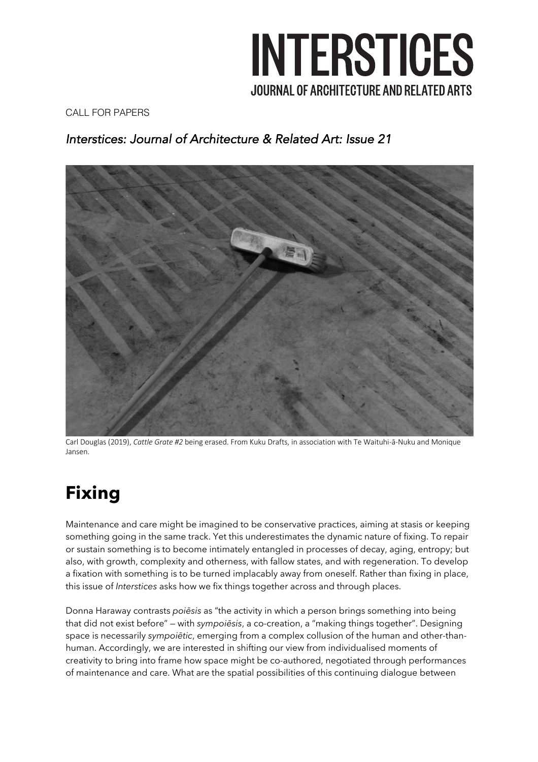

CALL FOR PAPERS

### *Interstices: Journal of Architecture & Related Art: Issue 21*



Carl Douglas (2019), *Cattle Grate #2* being erased. From Kuku Drafts, in association with Te Waituhi-ā-Nuku and Monique Jansen.

### **Fixing**

Maintenance and care might be imagined to be conservative practices, aiming at stasis or keeping something going in the same track. Yet this underestimates the dynamic nature of fixing. To repair or sustain something is to become intimately entangled in processes of decay, aging, entropy; but also, with growth, complexity and otherness, with fallow states, and with regeneration. To develop a fixation with something is to be turned implacably away from oneself. Rather than fixing in place, this issue of *Interstices* asks how we fix things together across and through places.

Donna Haraway contrasts *poiēsis* as "the activity in which a person brings something into being that did not exist before" — with *sympoiēsis*, a co-creation, a "making things together". Designing space is necessarily *sympoiētic*, emerging from a complex collusion of the human and other-thanhuman. Accordingly, we are interested in shifting our view from individualised moments of creativity to bring into frame how space might be co-authored, negotiated through performances of maintenance and care. What are the spatial possibilities of this continuing dialogue between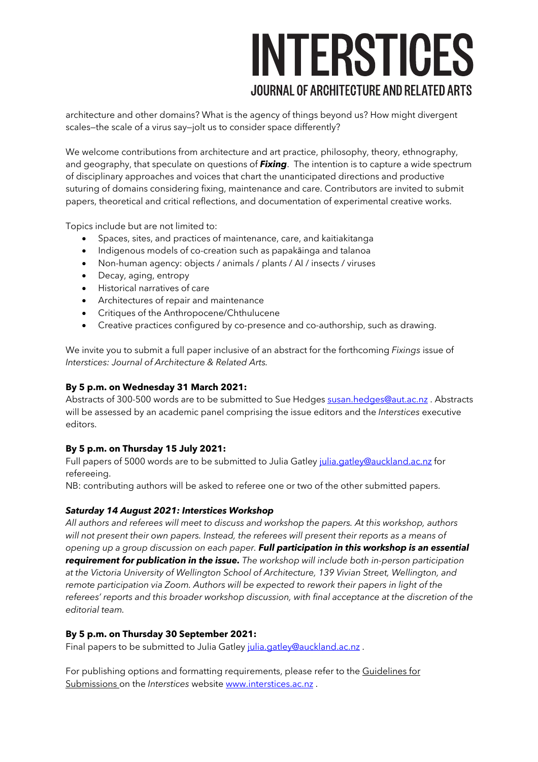# INTERSTICES **JOURNAL OF ARCHITECTURE AND RELATED ARTS**

architecture and other domains? What is the agency of things beyond us? How might divergent scales—the scale of a virus say—jolt us to consider space differently?

We welcome contributions from architecture and art practice, philosophy, theory, ethnography, and geography, that speculate on questions of *Fixing*. The intention is to capture a wide spectrum of disciplinary approaches and voices that chart the unanticipated directions and productive suturing of domains considering fixing, maintenance and care. Contributors are invited to submit papers, theoretical and critical reflections, and documentation of experimental creative works.

Topics include but are not limited to:

- Spaces, sites, and practices of maintenance, care, and kaitiakitanga
- Indigenous models of co-creation such as papakāinga and talanoa
- Non-human agency: objects / animals / plants / AI / insects / viruses
- Decay, aging, entropy
- Historical narratives of care
- Architectures of repair and maintenance
- Critiques of the Anthropocene/Chthulucene
- Creative practices configured by co-presence and co-authorship, such as drawing.

We invite you to submit a full paper inclusive of an abstract for the forthcoming *Fixings* issue of *Interstices: Journal of Architecture & Related Arts.*

#### **By 5 p.m. on Wednesday 31 March 2021:**

Abstracts of 300-500 words are to be submitted to Sue Hedges susan.hedges@aut.ac.nz. Abstracts will be assessed by an academic panel comprising the issue editors and the *Interstices* executive editors.

#### **By 5 p.m. on Thursday 15 July 2021:**

Full papers of 5000 words are to be submitted to Julia Gatley julia.gatley@auckland.ac.nz for refereeing.

NB: contributing authors will be asked to referee one or two of the other submitted papers.

#### *Saturday 14 August 2021: Interstices Workshop*

*All authors and referees will meet to discuss and workshop the papers. At this workshop, authors will not present their own papers. Instead, the referees will present their reports as a means of opening up a group discussion on each paper. Full participation in this workshop is an essential requirement for publication in the issue. The workshop will include both in-person participation at the Victoria University of Wellington School of Architecture, 139 Vivian Street, Wellington, and remote participation via Zoom. Authors will be expected to rework their papers in light of the referees' reports and this broader workshop discussion, with final acceptance at the discretion of the editorial team.*

#### **By 5 p.m. on Thursday 30 September 2021:**

Final papers to be submitted to Julia Gatley julia.gatley@auckland.ac.nz.

For publishing options and formatting requirements, please refer to the Guidelines for Submissions on the *Interstices* website www.interstices.ac.nz .